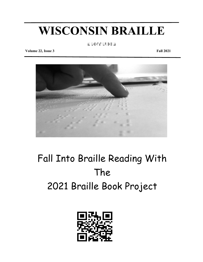# **WISCONSIN BRAILLE**

8,wisterstehung

**Volume 22, Issue 3 Fall 2021**



## Fall Into Braille Reading With The 2021 Braille Book Project

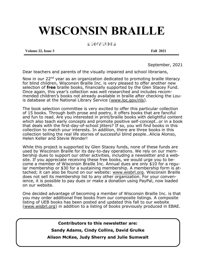## **WISCONSIN BRAILLE**

8, wis, britis, britis, britis, britis, britis, britis, britis, britis, britis, britis, britis, britis, britis<br>8, wis, britis, britis, britis, britis, britis, britis, britis, britis, britis, britis, britis, britis, britis

**Volume 22, Issue 3** Fall 2021

September, 2021

Dear teachers and parents of the visually impaired and school librarians,

Now in our 22<sup>nd</sup> year as an organization dedicated to promoting braille literacy for blind children, Wisconsin Braille Inc. is very pleased to offer another new selection of **free** braille books, financially supported by the Glen Stacey Fund. Once again, this year's collection was well researched and includes recommended children's books not already available in braille after checking the Louis database at the National Library Service ([www.loc.gov/nls\).](http://www.loc.gov/nls)

The book selection committee is very excited to offer this particular collection of 15 books. Through both prose and poetry, it offers books that are fanciful and fun to read. Are you interested in print/braille books with delightful content which also teach early concepts and promote positive self-concept…or in a book that deals with the first-day-of-school jitters? If so, you will find books in this collection to match your interests. In addition, there are three books in this collection telling the real life stories of successful blind people…Alicia Alonso, Helen Keller and Stevie Wonder!

While this project is supported by Glen Stacey funds, none of these funds are used by Wisconsin Braille for its day-to-day operations. We rely on our membership dues to support our other activities, including a newsletter and a website. If you appreciate receiving these free books, we would urge you to become a member of Wisconsin Braille Inc. Annual dues are only \$10 for a regular membership or \$30 for a sustaining membership. A membership form is attached; it can also be found on our website: [www.wisbrl.org.](http://www.wisbrl.org) Wisconsin Braille does not sell its membership list to any other organization. For your convenience, it is possible to pay dues or make a donation using PayPal, now loaded on our website.

One decided advantage of becoming a member of Wisconsin Braille Inc. is that you may order additional free books from our composite listings. A composite listing of UEB books has been posted and updated this fall to our website ([www.wisbrl.org\)](http://www.wisbrl.org) in addition to a listing of books previously produced in EBAE.

**Contributors to this newsletter are:**

**Sandy Adams, Cindy Collins, David Grulke**

**Alison McKee, Judy Sherry and Julie Sumwalt**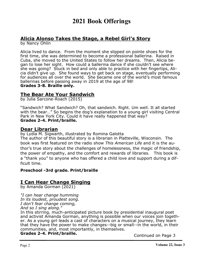## **2021 Book Offerings**

## **Alicia Alonso Takes the Stage, a Rebel Girl's Story**

by Nancy Ohlin

Alicia lived to dance. From the moment she slipped on pointe shoes for the first time, she was determined to become a professional ballerina. Raised in Cuba, she moved to the United States to follow her dreams. Then, Alicia began to lose her sight. How could a ballerina dance if she couldn't see where she was going? Stuck in bed and only able to practice with her fingertips, Alicia didn't give up. She found ways to get back on stage, eventually performing for audiences all over the world. She became one of the world's most famous ballerinas before passing away in 2019 at the age of 98! **Grades 3-8. Braille only.**

## **The Bear Ate Your Sandwich**

by Julia Sarcone-Roach (2015)

"Sandwich? What Sandwich? Oh, that sandwich. Right. Um well. It all started with the bear..." So begins the dog's explanation to a young girl visiting Central Park in New York City. Could it have really happened that way? **Grades 2-4. Print/braille.**

## **Dear Librarian**

by Lydia M. Sigwarth, illustrated by Romina Galotta

The author of this beautiful story is a librarian in Platteville, Wisconsin. The book was first featured on the radio show *This American Life* and it is the author's true story about the challenges of homelessness, the magic of friendship, the power of empathy, and the comfort and rewards of libraries. This book is a "thank you" to anyone who has offered a child love and support during a difficult time.

#### **Preschool -3rd grade. Print/braille**

## **I Can Hear Change Singing**

by Amanda Gorman (2021)

*"I can hear change humming In its loudest, proudest song.*

*I don't fear change coming,*

*And so I sing along."*

In this stirring, much-anticipated picture book by presidential inaugural poet and activist Amanda Gorman, anything is possible when our voices join together. As a young girl leads a cast of characters on a musical journey, they learn that they have the power to make changes--big or small--in the world, in their communities, and, most importantly, in themselves.

## **Grades 2-4. Print/braille.** Continued on Page 3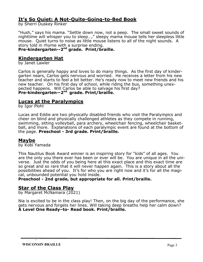## **It's So Quiet: A Not-Quite-Going-to-Bed Book**

by Sherri Duskey Rinker

"Hush," says his mama. "Settle down now, not a peep. The small sweet sounds of nighttime will whisper you to sleep…," sleepy mama mouse tells her sleepless little mouse. Quiet turns to noise as little mouse listens to all of the night sounds. A story told in rhyme with a surprise ending.

#### **Pre-kindergarten--2 nd grade. Print/braille.**

### **Kindergarten Hat**

by Janet Lawler

Carlos is generally happy and loves to do many things. As the first day of kindergarten nears, Carlos gets nervous and worried. He receives a letter from his new teacher and starts to feel a bit better. He's ready now to meet new friends and his new teacher. On his first day of school, while riding the bus, something unexpected happens. Will Carlos be able to salvage his first day? **Pre-kindergarten—2 nd grade. Print/braille.**

### **Lucas at the Paralympics**

by Igor Plohl

Lucas and Eddie are two physically disabled friends who visit the Paralympics and cheer on blind and physically challenged athletes as they compete in running, swimming, sitting volleyball, para archery, wheelchair fencing, wheelchair basketball, and more. Explanations of each paralympic event are found at the bottom of the page. **Preschool - 3rd grade. Print/braille.**

### **Maybe**

by Kobi Yamada

This Nautilus Book Award winner is an inspiring story for "kids" of all ages. You are the only you there ever has been or ever will be. You are unique in all the universe. Just the odds of you being here at this exact place and this exact time are so great and so rare that it will never happen again. This is a story about all the possibilities ahead of you. It's for who you are right now and it's for all the magical, unbounded potential you hold inside.

**Preschool - 2nd grade, but appropriate for all. Print/braille.**

### **Star of the Class Play**

by Margaret McNamara (2021)

Nia is excited to be in the class play! Then, on the big day of the performance, she gets nervous and forgets her lines. Will taking deep breaths help her calm down? **A Level One Ready–to- Read book. Print/braille.**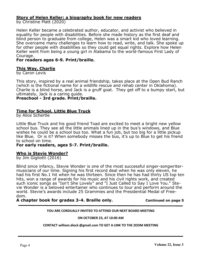#### **Story of Helen Keller: a biography book for new readers**

by Christine Platt (2020)

Helen Keller became a celebrated author, educator, and activist who believed in equality for people with disabilities. Before she made history as the first deaf and blind person to graduate from college, Helen was a smart kid who loved learning. She overcame many challenges to learn how to read, write, and talk. She spoke up for other people with disabilities so they could get equal rights. Explore how Helen Keller went from being a young girl in Alabama to the world-famous First Lady of Courage.

#### **For readers ages 6-9. Print/braille.**

#### **This Way, Charlie**

by Caron Levis

This story, inspired by a real animal friendship, takes place at the Open Bud Ranch (which is the fictional name for a wildlife rescue and rehab center in Oklahoma). Charlie is a blind horse, and Jack is a gruff goat. They get off to a bumpy start, but ultimately, Jack is a caring guide.

**Preschool - 3rd grade. Print/braille.**

#### **Time for School, Little Blue Truck**

by Alice Schertle

Little Blue Truck and his good friend Toad are excited to meet a bright new yellow school bus. They see all the little animals lined up in the bus's windows, and Blue wishes he could be a school bus too. What a fun job, but too big for a little pickup like Blue. Or is it? When somebody misses the bus, it's up to Blue to get his friend to school on time.

#### **For early readers, ages 5-7. Print/braille.**

#### **Who is Stevie Wonder?**

by Jim Gigliotti (2016)

Blind since infancy, Stevie Wonder is one of the most successful singer-songwritermusicians of our time. Signing his first record deal when he was only eleven, he had his first No.1 hit when he was thirteen. Since then he has had thirty US top ten hits, won a range of awards for his music and his civil rights work, and created such iconic songs as "Isn't She Lovely" and "I Just Called to Say I Love You." Stevie Wonder is a beloved entertainer who continues to tour and perform around the world. Stevie's awards include 25 Grammies and the Presidential Medal of Freedom.

**A chapter book for grades 3-4. Braille only. Continued on page 5**

#### **YOU ARE CORDUALLY INVITED TO ATTEND OUR NEXT BOARD MEETING**

**ON OCTOBER 23, AT 10:00 AM**

**CONTACT william.dieck @gmail.com TO GET A LINK TO THE ZOOM MEETING**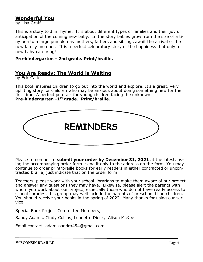## **Wonderful You**

by Lisa Graff

This is a story told in rhyme. It is about different types of families and their joyful anticipation of the coming new baby. In the story babies grow from the size of a tiny pea to a large pumpkin as mothers, fathers and siblings await the arrival of the new family member. It is a perfect celebratory story of the happiness that only a new baby can bring!

#### **Pre-kindergarten - 2nd grade. Print/braille.**

## **You Are Ready: The World is Waiting**

by Eric Carle

This book inspires children to go out into the world and explore. It's a great, very uplifting story for children who may be anxious about doing something new for the first time. A perfect pep talk for young children facing the unknown. **Pre-kindergarten -1 st grade. Print/braille.**



Please remember to **submit your order by December 31, 2021** at the latest, using the accompanying order form; send it only to the address on the form. You may continue to order print/braille books for early readers in either contracted or uncontracted braille; just indicate that on the order form.

Teachers, please work with your school librarians to make them aware of our project and answer any questions they may have. Likewise, please alert the parents with whom you work about our project, especially those who do not have ready access to school libraries; this group may well include the parents of preschool blind children. You should receive your books in the spring of 2022. Many thanks for using our service!

Special Book Project Committee Members,

Sandy Adams, Cindy Collins, Leanette Dieck, Alison McKee

Email contact: [adamssandra454@gmail.com](mailto:adamssandra454@gmail.com)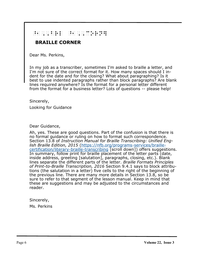## ^0, Brl ^1, Brl ^1, Cornard Cornard Cornard Cornard Cornard Cornard Cornard Cornard Cornard Cornard Cornard Co<br>- Brand Cornard Cornard Cornard Cornard Cornard Cornard Cornard Cornard Cornard Cornard Cornard Cornard Cornar<br>

## **BRAILLE CORNER**

Dear Ms. Perkins,

In my job as a transcriber, sometimes I'm asked to braille a letter, and I'm not sure of the correct format for it. How many spaces should I indent for the date and for the closing? What about paragraphing? Is it best to use indented paragraphs rather than block paragraphs? Are blank lines required anywhere? Is the format for a personal letter different from the format for a business letter? Lots of questions -- please help!

Sincerely,

Looking for Guidance

Dear Guidance,

Ah, yes. These are good questions. Part of the confusion is that there is no formal guidance or ruling on how to format such correspondence. Section 13.8 of *Instruction Manual for Braille Transcribing: Unified English Braille Edition, 2015* [\(https://nfb.org/programs](https://nfb.org/programs-services/braille-certification/literary-braille-transcribing)-services/braille[certification/literary](https://nfb.org/programs-services/braille-certification/literary-braille-transcribing)-braille-transcribing [scroll down]) offers suggestions. In summary, follow print for braille placement of the letter parts (date, inside address, greeting [salutation], paragraphs, closing, etc.). Blank lines separate the different parts of the letter. *Braille Formats Principles of Print-to-Braille Transcription, 2016* Section 9.4.1 says to block attributions (the salutation in a letter) five cells to the right of the beginning of the previous line. There are many more details in Section 13.8, so be sure to refer to that segment of the lesson manual. Keep in mind that these are suggestions and may be adjusted to the circumstances and reader.

Sincerely,

Ms. Perkins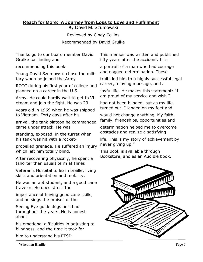## **Reach for More: A Journey from Loss to Love and Fulfillment**

By David M. Szumowski

Reviewed by Cindy Collins Recommended by David Grulke

Thanks go to our board member David Grulke for finding and

recommending this book.

Young David Szumowski chose the military when he joined the Army

ROTC during his first year of college and planned on a career in the U.S.

Army. He could hardly wait to get to Vietnam and join the fight. He was 23

years old in 1969 when he was shipped to Vietnam. Forty days after his

arrival, the tank platoon he commanded came under attack. He was

standing, exposed, in the turret when his tank was hit with a rocket-

propelled grenade. He suffered an injury which left him totally blind.

After recovering physically, he spent a (shorter than usual) term at Hines

Veteran's Hospital to learn braille, living skills and orientation and mobility.

He was an apt student, and a good cane traveler. He does stress the

importance of having good cane skills, and he sings the praises of the

Seeing Eye guide dogs he's had throughout the years. He is honest about

his emotional difficulties in adjusting to blindness, and the time it took for

him to understand his PTSD.

This memoir was written and published fifty years after the accident. It is

a portrait of a man who had courage and dogged determination. These

traits led him to a highly successful legal career, a loving marriage, and a

joyful life. He makes this statement: "I am proud of my service and wish I

had not been blinded, but as my life turned out, I landed on my feet and

would not change anything. My faith, family, friendships, opportunities and

determination helped me to overcome obstacles and realize a satisfying

life. This is my story of achievement by never giving up."

This book is available through Bookstore, and as an Audible book.

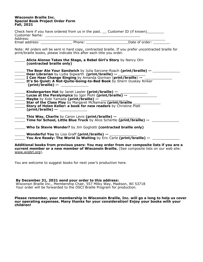#### **Wisconsin Braille Inc. Special Book Project Order Form Fall, 2021**

|                       | Check here if you have ordered from us in the past. Customer ID (if known) |                |
|-----------------------|----------------------------------------------------------------------------|----------------|
| <b>Customer Name:</b> |                                                                            |                |
| Address:              |                                                                            |                |
| Email address:        | Phone:                                                                     | Date of order: |

Note: All orders will be sent in hard copy, contracted braille. If you prefer uncontracted braille for print/braille books, please indicate this after each title you order.

| Alicia Alonso Takes the Stage, a Rebel Girl's Story by Nancy Olin<br>(contracted braille only)                                                                                                                                                                                             |
|--------------------------------------------------------------------------------------------------------------------------------------------------------------------------------------------------------------------------------------------------------------------------------------------|
| The Bear Ate Your Sandwich by Julia Sarcone-Roach (print/braille) --<br>Dear Librarian by Lydia Sigwarth (print/braille) --<br>I Can Hear Change Singing by Amanda Gorman (print/braille) --<br>It's So Quiet: A Not-Quite-Going-to-Bed Book by Sherri Duskey Rinker<br>(print/braille) -- |
| Kindergarten Hat by Janet Lawler (print/braille) --<br><b>Lucas at the Paralympics</b> by Igor Plohl (print/braille) --<br>Maybe by Kobi Yamada (print/braille) --<br>(print/braille) --                                                                                                   |
| <b>_ This Way, Charlie</b> by Caron Levis (print/braille) --<br>Time for School, Little Blue Truck by Alice Schertle (print/braille) --                                                                                                                                                    |
| <b>Who Is Stevie Wonder?</b> by Jim Gogliotti (contracted braille only)                                                                                                                                                                                                                    |
| <b>Wonderful You</b> by Lisa Graff (print/braille) --<br>You Are Ready: The World Is Waiting by Eric Carle (print/braille) --                                                                                                                                                              |
| Additional books from previous years: You may order from our composite lists if you are a                                                                                                                                                                                                  |

**current member or a new member of Wisconsin Braille.** (See composite lists on our web site: [www.wisbrl.org\).](http://www.wisbrl.org)

You are welcome to suggest books for next year's production here.

**By December 31, 2021 send your order to this address:**  Wisconsin Braille Inc., Membership Chair, 557 Milky Way, Madison, WI 53718 Your order will be forwarded to the OSCI Braille Program for production.

**Please remember, your membership in Wisconsin Braille, Inc. will go a long to help us cover our operating expenses. Many thanks for your consideration! Enjoy your books with your children!**